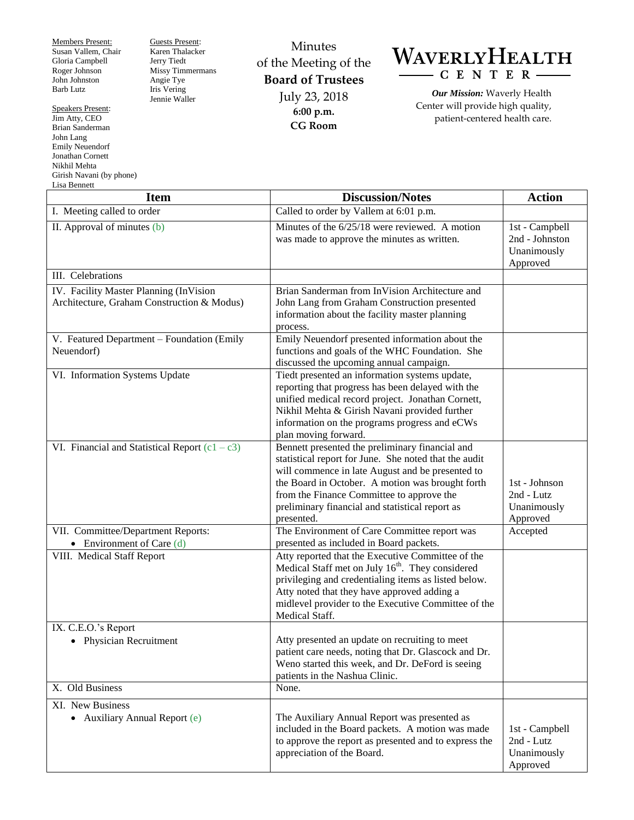Members Present: Susan Vallem, Chair Gloria Campbell Roger Johnson John Johnston Barb Lutz

Speakers Present: Jim Atty, CEO Brian Sanderman John Lang Emily Neuendorf Jonathan Cornett Nikhil Mehta Girish Navani (by phone) Lisa Bennett

Guests Present: Karen Thalacker Jerry Tiedt Missy Timmermans Angie Tye Iris Vering Jennie Waller

Minutes of the Meeting of the **Board of Trustees** July 23, 2018 **6:00 p.m. CG Room**



*Our Mission:* Waverly Health Center will provide high quality, patient-centered health care.

| <b>Item</b>                                                                          | <b>Discussion/Notes</b>                                                                                                                                                                                                                                                                                                        | <b>Action</b>                                               |
|--------------------------------------------------------------------------------------|--------------------------------------------------------------------------------------------------------------------------------------------------------------------------------------------------------------------------------------------------------------------------------------------------------------------------------|-------------------------------------------------------------|
| I. Meeting called to order                                                           | Called to order by Vallem at $\overline{6:01}$ p.m.                                                                                                                                                                                                                                                                            |                                                             |
| II. Approval of minutes (b)                                                          | Minutes of the $6/25/18$ were reviewed. A motion<br>was made to approve the minutes as written.                                                                                                                                                                                                                                | 1st - Campbell<br>2nd - Johnston<br>Unanimously<br>Approved |
| III. Celebrations                                                                    |                                                                                                                                                                                                                                                                                                                                |                                                             |
| IV. Facility Master Planning (InVision<br>Architecture, Graham Construction & Modus) | Brian Sanderman from InVision Architecture and<br>John Lang from Graham Construction presented<br>information about the facility master planning<br>process.                                                                                                                                                                   |                                                             |
| V. Featured Department - Foundation (Emily<br>Neuendorf)                             | Emily Neuendorf presented information about the<br>functions and goals of the WHC Foundation. She<br>discussed the upcoming annual campaign.                                                                                                                                                                                   |                                                             |
| VI. Information Systems Update                                                       | Tiedt presented an information systems update,<br>reporting that progress has been delayed with the<br>unified medical record project. Jonathan Cornett,<br>Nikhil Mehta & Girish Navani provided further<br>information on the programs progress and eCWs<br>plan moving forward.                                             |                                                             |
| VI. Financial and Statistical Report $(c1 - c3)$                                     | Bennett presented the preliminary financial and<br>statistical report for June. She noted that the audit<br>will commence in late August and be presented to<br>the Board in October. A motion was brought forth<br>from the Finance Committee to approve the<br>preliminary financial and statistical report as<br>presented. | 1st - Johnson<br>2nd - Lutz<br>Unanimously<br>Approved      |
| VII. Committee/Department Reports:<br>• Environment of Care $(d)$                    | The Environment of Care Committee report was<br>presented as included in Board packets.                                                                                                                                                                                                                                        | Accepted                                                    |
| VIII. Medical Staff Report                                                           | Atty reported that the Executive Committee of the<br>Medical Staff met on July 16 <sup>th</sup> . They considered<br>privileging and credentialing items as listed below.<br>Atty noted that they have approved adding a<br>midlevel provider to the Executive Committee of the<br>Medical Staff.                              |                                                             |
| IX. C.E.O.'s Report<br>• Physician Recruitment                                       | Atty presented an update on recruiting to meet<br>patient care needs, noting that Dr. Glascock and Dr.<br>Weno started this week, and Dr. DeFord is seeing<br>patients in the Nashua Clinic.                                                                                                                                   |                                                             |
| X. Old Business                                                                      | None.                                                                                                                                                                                                                                                                                                                          |                                                             |
| XI. New Business<br>• Auxiliary Annual Report (e)                                    | The Auxiliary Annual Report was presented as<br>included in the Board packets. A motion was made<br>to approve the report as presented and to express the<br>appreciation of the Board.                                                                                                                                        | 1st - Campbell<br>2nd - Lutz<br>Unanimously<br>Approved     |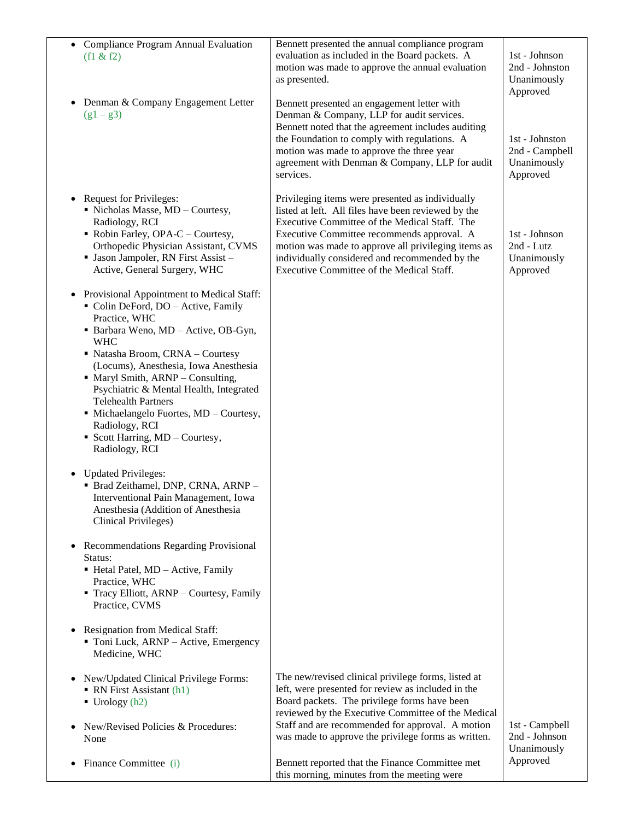| Compliance Program Annual Evaluation<br>$\bullet$<br>(f1 & 2f2)                                                                                                                                                                                                                                                                                                                                                                                                  | Bennett presented the annual compliance program<br>evaluation as included in the Board packets. A<br>motion was made to approve the annual evaluation<br>as presented.                                                                                                                                                                                       | 1st - Johnson<br>2nd - Johnston<br>Unanimously<br>Approved  |
|------------------------------------------------------------------------------------------------------------------------------------------------------------------------------------------------------------------------------------------------------------------------------------------------------------------------------------------------------------------------------------------------------------------------------------------------------------------|--------------------------------------------------------------------------------------------------------------------------------------------------------------------------------------------------------------------------------------------------------------------------------------------------------------------------------------------------------------|-------------------------------------------------------------|
| Denman & Company Engagement Letter<br>$\bullet$<br>$(g1 - g3)$                                                                                                                                                                                                                                                                                                                                                                                                   | Bennett presented an engagement letter with<br>Denman & Company, LLP for audit services.<br>Bennett noted that the agreement includes auditing<br>the Foundation to comply with regulations. A<br>motion was made to approve the three year<br>agreement with Denman & Company, LLP for audit<br>services.                                                   | 1st - Johnston<br>2nd - Campbell<br>Unanimously<br>Approved |
| <b>Request for Privileges:</b><br>$\bullet$<br>• Nicholas Masse, MD - Courtesy,<br>Radiology, RCI<br>Robin Farley, OPA-C - Courtesy,<br>Orthopedic Physician Assistant, CVMS<br>· Jason Jampoler, RN First Assist -<br>Active, General Surgery, WHC                                                                                                                                                                                                              | Privileging items were presented as individually<br>listed at left. All files have been reviewed by the<br>Executive Committee of the Medical Staff. The<br>Executive Committee recommends approval. A<br>motion was made to approve all privileging items as<br>individually considered and recommended by the<br>Executive Committee of the Medical Staff. | 1st - Johnson<br>2nd - Lutz<br>Unanimously<br>Approved      |
| Provisional Appointment to Medical Staff:<br>Colin DeFord, DO - Active, Family<br>Practice, WHC<br>· Barbara Weno, MD - Active, OB-Gyn,<br><b>WHC</b><br>• Natasha Broom, CRNA - Courtesy<br>(Locums), Anesthesia, Iowa Anesthesia<br>• Maryl Smith, ARNP - Consulting,<br>Psychiatric & Mental Health, Integrated<br><b>Telehealth Partners</b><br>· Michaelangelo Fuortes, MD - Courtesy,<br>Radiology, RCI<br>Scott Harring, MD - Courtesy,<br>Radiology, RCI |                                                                                                                                                                                                                                                                                                                                                              |                                                             |
| • Updated Privileges:<br>· Brad Zeithamel, DNP, CRNA, ARNP -<br>Interventional Pain Management, Iowa<br>Anesthesia (Addition of Anesthesia<br><b>Clinical Privileges)</b>                                                                                                                                                                                                                                                                                        |                                                                                                                                                                                                                                                                                                                                                              |                                                             |
| Recommendations Regarding Provisional<br>Status:<br>Hetal Patel, MD - Active, Family<br>Practice, WHC<br>• Tracy Elliott, ARNP - Courtesy, Family<br>Practice, CVMS                                                                                                                                                                                                                                                                                              |                                                                                                                                                                                                                                                                                                                                                              |                                                             |
| <b>Resignation from Medical Staff:</b><br>Toni Luck, ARNP - Active, Emergency<br>Medicine, WHC                                                                                                                                                                                                                                                                                                                                                                   |                                                                                                                                                                                                                                                                                                                                                              |                                                             |
| New/Updated Clinical Privilege Forms:<br>• RN First Assistant (h1)<br>$\blacksquare$ Urology (h2)                                                                                                                                                                                                                                                                                                                                                                | The new/revised clinical privilege forms, listed at<br>left, were presented for review as included in the<br>Board packets. The privilege forms have been                                                                                                                                                                                                    |                                                             |
| New/Revised Policies & Procedures:<br>None                                                                                                                                                                                                                                                                                                                                                                                                                       | reviewed by the Executive Committee of the Medical<br>Staff and are recommended for approval. A motion<br>was made to approve the privilege forms as written.                                                                                                                                                                                                | 1st - Campbell<br>2nd - Johnson<br>Unanimously              |
| Finance Committee (i)                                                                                                                                                                                                                                                                                                                                                                                                                                            | Bennett reported that the Finance Committee met<br>this morning, minutes from the meeting were                                                                                                                                                                                                                                                               | Approved                                                    |